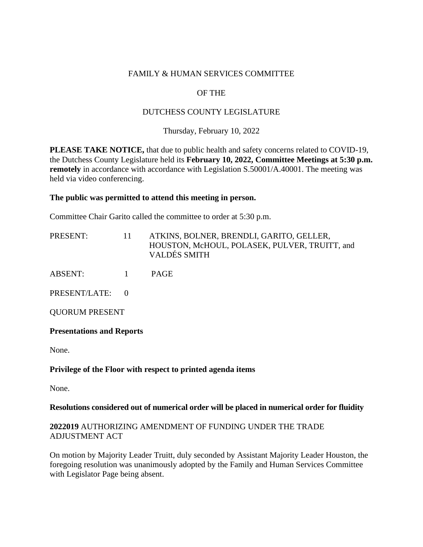### FAMILY & HUMAN SERVICES COMMITTEE

# OF THE

## DUTCHESS COUNTY LEGISLATURE

Thursday, February 10, 2022

**PLEASE TAKE NOTICE,** that due to public health and safety concerns related to COVID-19, the Dutchess County Legislature held its **February 10, 2022, Committee Meetings at 5:30 p.m. remotely** in accordance with accordance with Legislation S.50001/A.40001. The meeting was held via video conferencing.

#### **The public was permitted to attend this meeting in person.**

Committee Chair Garito called the committee to order at 5:30 p.m.

| PRESENT: | 11. | ATKINS, BOLNER, BRENDLI, GARITO, GELLER,<br>HOUSTON, McHOUL, POLASEK, PULVER, TRUITT, and<br><b>VALDÉS SMITH</b> |
|----------|-----|------------------------------------------------------------------------------------------------------------------|
| ABSENT:  |     | <b>PAGE</b>                                                                                                      |

PRESENT/LATE: 0

QUORUM PRESENT

**Presentations and Reports** 

None.

#### **Privilege of the Floor with respect to printed agenda items**

None.

#### **Resolutions considered out of numerical order will be placed in numerical order for fluidity**

#### **2022019** AUTHORIZING AMENDMENT OF FUNDING UNDER THE TRADE ADJUSTMENT ACT

On motion by Majority Leader Truitt, duly seconded by Assistant Majority Leader Houston, the foregoing resolution was unanimously adopted by the Family and Human Services Committee with Legislator Page being absent.